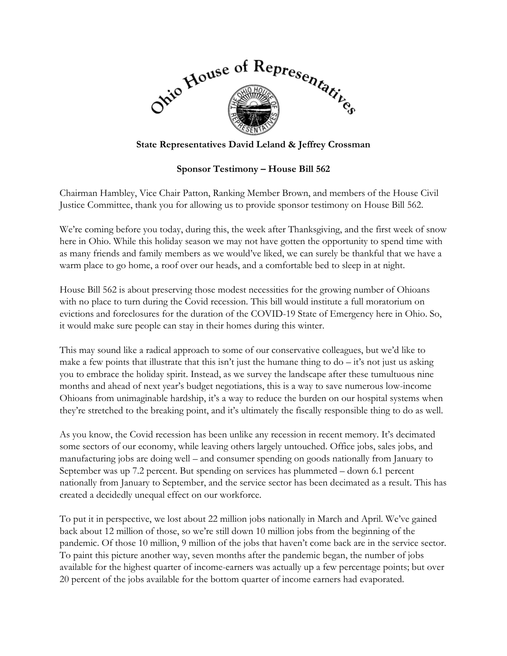

## **State Representatives David Leland & Jeffrey Crossman**

## **Sponsor Testimony – House Bill 562**

Chairman Hambley, Vice Chair Patton, Ranking Member Brown, and members of the House Civil Justice Committee, thank you for allowing us to provide sponsor testimony on House Bill 562.

We're coming before you today, during this, the week after Thanksgiving, and the first week of snow here in Ohio. While this holiday season we may not have gotten the opportunity to spend time with as many friends and family members as we would've liked, we can surely be thankful that we have a warm place to go home, a roof over our heads, and a comfortable bed to sleep in at night.

House Bill 562 is about preserving those modest necessities for the growing number of Ohioans with no place to turn during the Covid recession. This bill would institute a full moratorium on evictions and foreclosures for the duration of the COVID-19 State of Emergency here in Ohio. So, it would make sure people can stay in their homes during this winter.

This may sound like a radical approach to some of our conservative colleagues, but we'd like to make a few points that illustrate that this isn't just the humane thing to  $do - it$ 's not just us asking you to embrace the holiday spirit. Instead, as we survey the landscape after these tumultuous nine months and ahead of next year's budget negotiations, this is a way to save numerous low-income Ohioans from unimaginable hardship, it's a way to reduce the burden on our hospital systems when they're stretched to the breaking point, and it's ultimately the fiscally responsible thing to do as well.

As you know, the Covid recession has been unlike any recession in recent memory. It's decimated some sectors of our economy, while leaving others largely untouched. Office jobs, sales jobs, and manufacturing jobs are doing well – and consumer spending on goods nationally from January to September was up 7.2 percent. But spending on services has plummeted – down 6.1 percent nationally from January to September, and the service sector has been decimated as a result. This has created a decidedly unequal effect on our workforce.

To put it in perspective, we lost about 22 million jobs nationally in March and April. We've gained back about 12 million of those, so we're still down 10 million jobs from the beginning of the pandemic. Of those 10 million, 9 million of the jobs that haven't come back are in the service sector. To paint this picture another way, seven months after the pandemic began, the number of jobs available for the highest quarter of income-earners was actually up a few percentage points; but over 20 percent of the jobs available for the bottom quarter of income earners had evaporated.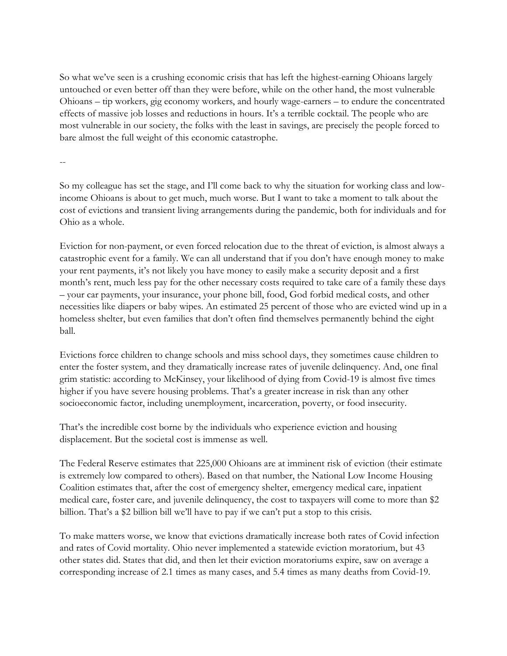So what we've seen is a crushing economic crisis that has left the highest-earning Ohioans largely untouched or even better off than they were before, while on the other hand, the most vulnerable Ohioans – tip workers, gig economy workers, and hourly wage-earners – to endure the concentrated effects of massive job losses and reductions in hours. It's a terrible cocktail. The people who are most vulnerable in our society, the folks with the least in savings, are precisely the people forced to bare almost the full weight of this economic catastrophe.

--

So my colleague has set the stage, and I'll come back to why the situation for working class and lowincome Ohioans is about to get much, much worse. But I want to take a moment to talk about the cost of evictions and transient living arrangements during the pandemic, both for individuals and for Ohio as a whole.

Eviction for non-payment, or even forced relocation due to the threat of eviction, is almost always a catastrophic event for a family. We can all understand that if you don't have enough money to make your rent payments, it's not likely you have money to easily make a security deposit and a first month's rent, much less pay for the other necessary costs required to take care of a family these days – your car payments, your insurance, your phone bill, food, God forbid medical costs, and other necessities like diapers or baby wipes. An estimated 25 percent of those who are evicted wind up in a homeless shelter, but even families that don't often find themselves permanently behind the eight ball.

Evictions force children to change schools and miss school days, they sometimes cause children to enter the foster system, and they dramatically increase rates of juvenile delinquency. And, one final grim statistic: according to McKinsey, your likelihood of dying from Covid-19 is almost five times higher if you have severe housing problems. That's a greater increase in risk than any other socioeconomic factor, including unemployment, incarceration, poverty, or food insecurity.

That's the incredible cost borne by the individuals who experience eviction and housing displacement. But the societal cost is immense as well.

The Federal Reserve estimates that 225,000 Ohioans are at imminent risk of eviction (their estimate is extremely low compared to others). Based on that number, the National Low Income Housing Coalition estimates that, after the cost of emergency shelter, emergency medical care, inpatient medical care, foster care, and juvenile delinquency, the cost to taxpayers will come to more than \$2 billion. That's a \$2 billion bill we'll have to pay if we can't put a stop to this crisis.

To make matters worse, we know that evictions dramatically increase both rates of Covid infection and rates of Covid mortality. Ohio never implemented a statewide eviction moratorium, but 43 other states did. States that did, and then let their eviction moratoriums expire, saw on average a corresponding increase of 2.1 times as many cases, and 5.4 times as many deaths from Covid-19.